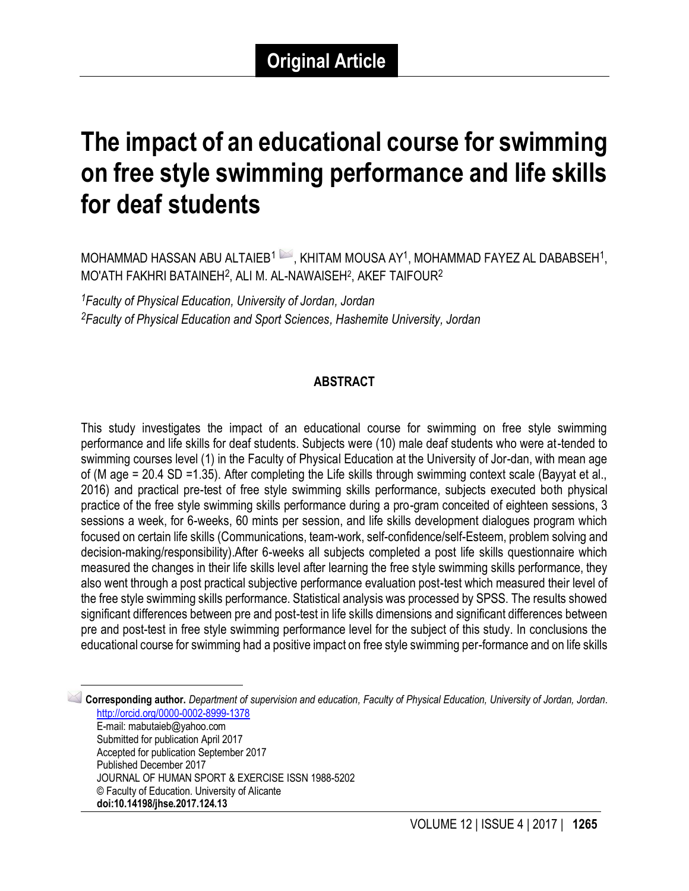# **The impact of an educational course for swimming on free style swimming performance and life skills for deaf students**

MOHAMMAD HASSAN ABU ALTAIEB $^1$   $\rightarrow$  , KHITAM MOUSA AY $^1$ , MOHAMMAD FAYEZ AL DABABSEH $^1$ , MO'ATH FAKHRI BATAINEH $^2$ , ALI M. AL-NAWAISEH $^2$ , AKEF TAIFOUR $^2$ 

*<sup>1</sup>Faculty of Physical Education, University of Jordan, Jordan <sup>2</sup>Faculty of Physical Education and Sport Sciences, Hashemite University, Jordan*

 $\overline{\phantom{a}}$ 

#### **ABSTRACT**

This study investigates the impact of an educational course for swimming on free style swimming performance and life skills for deaf students. Subjects were (10) male deaf students who were at-tended to swimming courses level (1) in the Faculty of Physical Education at the University of Jor-dan, with mean age of (M age = 20.4 SD =1.35). After completing the Life skills through swimming context scale (Bayyat et al., 2016) and practical pre-test of free style swimming skills performance, subjects executed both physical practice of the free style swimming skills performance during a pro-gram conceited of eighteen sessions, 3 sessions a week, for 6-weeks, 60 mints per session, and life skills development dialogues program which focused on certain life skills (Communications, team-work, self-confidence/self-Esteem, problem solving and decision-making/responsibility).After 6-weeks all subjects completed a post life skills questionnaire which measured the changes in their life skills level after learning the free style swimming skills performance, they also went through a post practical subjective performance evaluation post-test which measured their level of the free style swimming skills performance. Statistical analysis was processed by SPSS. The results showed significant differences between pre and post-test in life skills dimensions and significant differences between pre and post-test in free style swimming performance level for the subject of this study. In conclusions the educational course for swimming had a positive impact on free style swimming per-formance and on life skills

1 **Corresponding author.** *Department of supervision and education, Faculty of Physical Education, University of Jordan, Jordan.* <http://orcid.org/0000-0002-8999-1378> E-mail: mabutaieb@yahoo.com Submitted for publication April 2017 Accepted for publication September 2017 Published December 2017 JOURNAL OF HUMAN SPORT & EXERCISE ISSN 1988-5202 © Faculty of Education. University of Alicante **doi:10.14198/jhse.2017.124.13**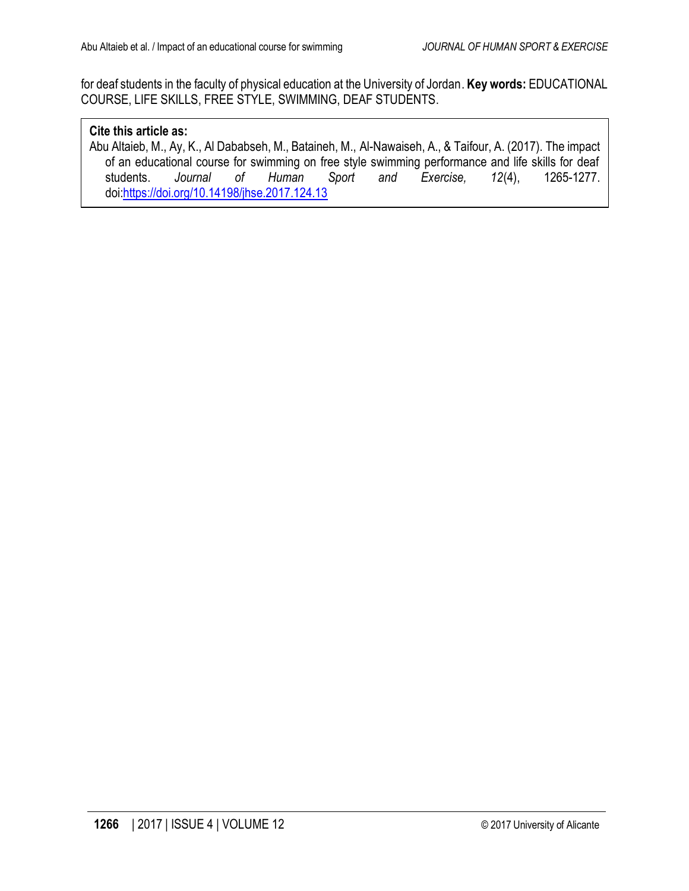for deaf students in the faculty of physical education at the University of Jordan. **Key words:** EDUCATIONAL COURSE, LIFE SKILLS, FREE STYLE, SWIMMING, DEAF STUDENTS.

#### **Cite this article as:**

Abu Altaieb, M., Ay, K., Al Dababseh, M., Bataineh, M., Al-Nawaiseh, A., & Taifour, A. (2017). The impact of an educational course for swimming on free style swimming performance and life skills for deaf students. *Journal of Human Sport and Exercise, 12*(4), 1265-1277. doi[:https://doi.org/10.14198/jhse.2017.124.13](https://doi.org/10.14198/jhse.2017.124.13)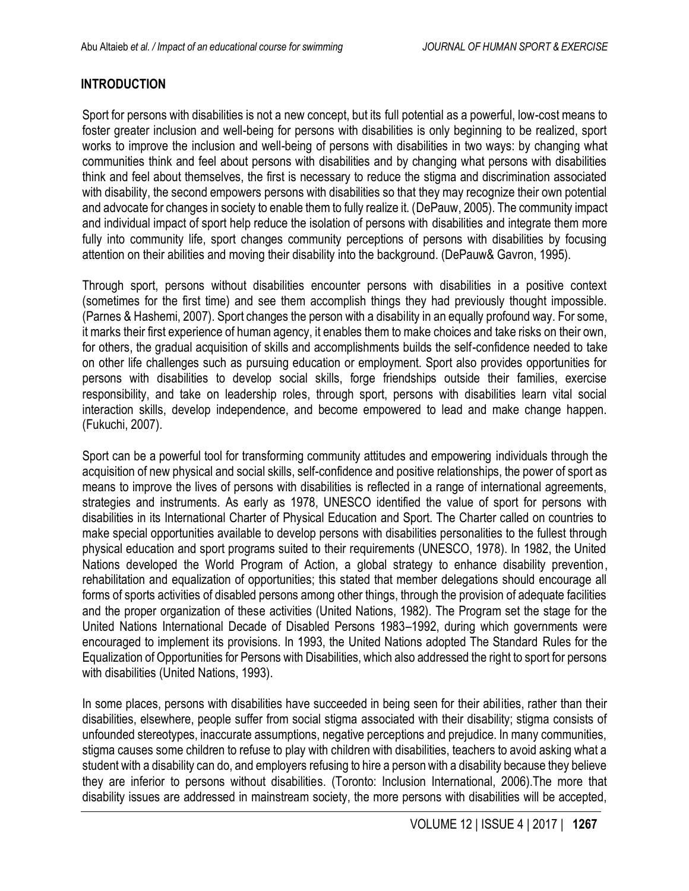## **INTRODUCTION**

Sport for persons with disabilities is not a new concept, but its full potential as a powerful, low-cost means to foster greater inclusion and well-being for persons with disabilities is only beginning to be realized, sport works to improve the inclusion and well-being of persons with disabilities in two ways: by changing what communities think and feel about persons with disabilities and by changing what persons with disabilities think and feel about themselves, the first is necessary to reduce the stigma and discrimination associated with disability, the second empowers persons with disabilities so that they may recognize their own potential and advocate for changes in society to enable them to fully realize it. (DePauw, 2005). The community impact and individual impact of sport help reduce the isolation of persons with disabilities and integrate them more fully into community life, sport changes community perceptions of persons with disabilities by focusing attention on their abilities and moving their disability into the background. (DePauw& Gavron, 1995).

Through sport, persons without disabilities encounter persons with disabilities in a positive context (sometimes for the first time) and see them accomplish things they had previously thought impossible. (Parnes & Hashemi, 2007). Sport changes the person with a disability in an equally profound way. For some, it marks their first experience of human agency, it enables them to make choices and take risks on their own, for others, the gradual acquisition of skills and accomplishments builds the self-confidence needed to take on other life challenges such as pursuing education or employment. Sport also provides opportunities for persons with disabilities to develop social skills, forge friendships outside their families, exercise responsibility, and take on leadership roles, through sport, persons with disabilities learn vital social interaction skills, develop independence, and become empowered to lead and make change happen. (Fukuchi, 2007).

Sport can be a powerful tool for transforming community attitudes and empowering individuals through the acquisition of new physical and social skills, self-confidence and positive relationships, the power of sport as means to improve the lives of persons with disabilities is reflected in a range of international agreements, strategies and instruments. As early as 1978, UNESCO identified the value of sport for persons with disabilities in its International Charter of Physical Education and Sport. The Charter called on countries to make special opportunities available to develop persons with disabilities personalities to the fullest through physical education and sport programs suited to their requirements (UNESCO, 1978). In 1982, the United Nations developed the World Program of Action, a global strategy to enhance disability prevention, rehabilitation and equalization of opportunities; this stated that member delegations should encourage all forms of sports activities of disabled persons among other things, through the provision of adequate facilities and the proper organization of these activities (United Nations, 1982). The Program set the stage for the United Nations International Decade of Disabled Persons 1983–1992, during which governments were encouraged to implement its provisions. In 1993, the United Nations adopted The Standard Rules for the Equalization of Opportunities for Persons with Disabilities, which also addressed the right to sport for persons with disabilities (United Nations, 1993).

In some places, persons with disabilities have succeeded in being seen for their abilities, rather than their disabilities, elsewhere, people suffer from social stigma associated with their disability; stigma consists of unfounded stereotypes, inaccurate assumptions, negative perceptions and prejudice. In many communities, stigma causes some children to refuse to play with children with disabilities, teachers to avoid asking what a student with a disability can do, and employers refusing to hire a person with a disability because they believe they are inferior to persons without disabilities. (Toronto: Inclusion International, 2006).The more that disability issues are addressed in mainstream society, the more persons with disabilities will be accepted,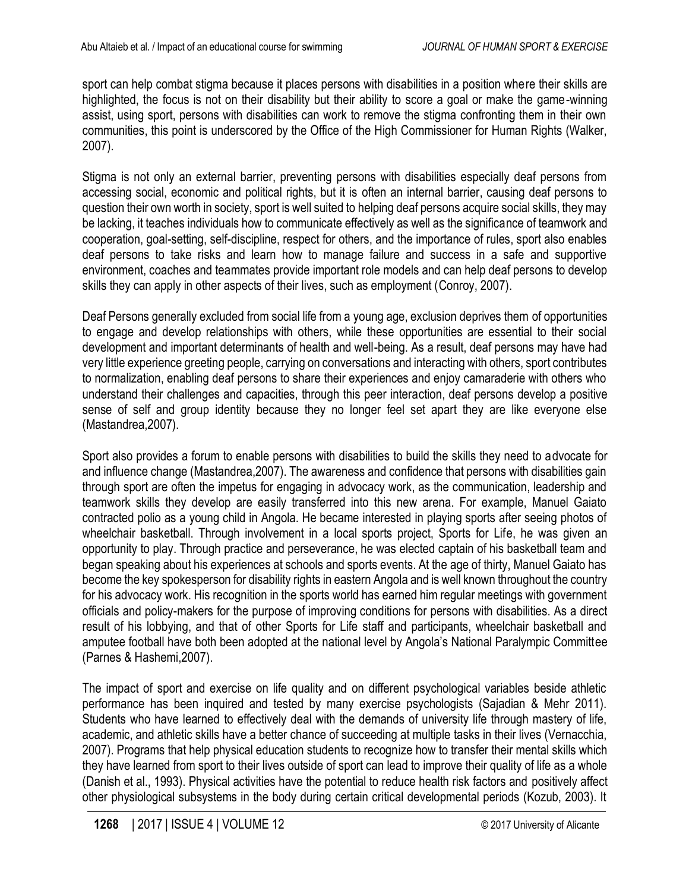sport can help combat stigma because it places persons with disabilities in a position where their skills are highlighted, the focus is not on their disability but their ability to score a goal or make the game-winning assist, using sport, persons with disabilities can work to remove the stigma confronting them in their own communities, this point is underscored by the Office of the High Commissioner for Human Rights (Walker, 2007).

Stigma is not only an external barrier, preventing persons with disabilities especially deaf persons from accessing social, economic and political rights, but it is often an internal barrier, causing deaf persons to question their own worth in society, sport is well suited to helping deaf persons acquire social skills, they may be lacking, it teaches individuals how to communicate effectively as well as the significance of teamwork and cooperation, goal-setting, self-discipline, respect for others, and the importance of rules, sport also enables deaf persons to take risks and learn how to manage failure and success in a safe and supportive environment, coaches and teammates provide important role models and can help deaf persons to develop skills they can apply in other aspects of their lives, such as employment (Conroy, 2007).

Deaf Persons generally excluded from social life from a young age, exclusion deprives them of opportunities to engage and develop relationships with others, while these opportunities are essential to their social development and important determinants of health and well-being. As a result, deaf persons may have had very little experience greeting people, carrying on conversations and interacting with others, sport contributes to normalization, enabling deaf persons to share their experiences and enjoy camaraderie with others who understand their challenges and capacities, through this peer interaction, deaf persons develop a positive sense of self and group identity because they no longer feel set apart they are like everyone else (Mastandrea,2007).

Sport also provides a forum to enable persons with disabilities to build the skills they need to advocate for and influence change (Mastandrea,2007). The awareness and confidence that persons with disabilities gain through sport are often the impetus for engaging in advocacy work, as the communication, leadership and teamwork skills they develop are easily transferred into this new arena. For example, Manuel Gaiato contracted polio as a young child in Angola. He became interested in playing sports after seeing photos of wheelchair basketball. Through involvement in a local sports project, Sports for Life, he was given an opportunity to play. Through practice and perseverance, he was elected captain of his basketball team and began speaking about his experiences at schools and sports events. At the age of thirty, Manuel Gaiato has become the key spokesperson for disability rights in eastern Angola and is well known throughout the country for his advocacy work. His recognition in the sports world has earned him regular meetings with government officials and policy-makers for the purpose of improving conditions for persons with disabilities. As a direct result of his lobbying, and that of other Sports for Life staff and participants, wheelchair basketball and amputee football have both been adopted at the national level by Angola's National Paralympic Committee (Parnes & Hashemi,2007).

The impact of sport and exercise on life quality and on different psychological variables beside athletic performance has been inquired and tested by many exercise psychologists (Sajadian & Mehr 2011). Students who have learned to effectively deal with the demands of university life through mastery of life, academic, and athletic skills have a better chance of succeeding at multiple tasks in their lives (Vernacchia, 2007). Programs that help physical education students to recognize how to transfer their mental skills which they have learned from sport to their lives outside of sport can lead to improve their quality of life as a whole (Danish et al., 1993). Physical activities have the potential to reduce health risk factors and positively affect other physiological subsystems in the body during certain critical developmental periods (Kozub, 2003). It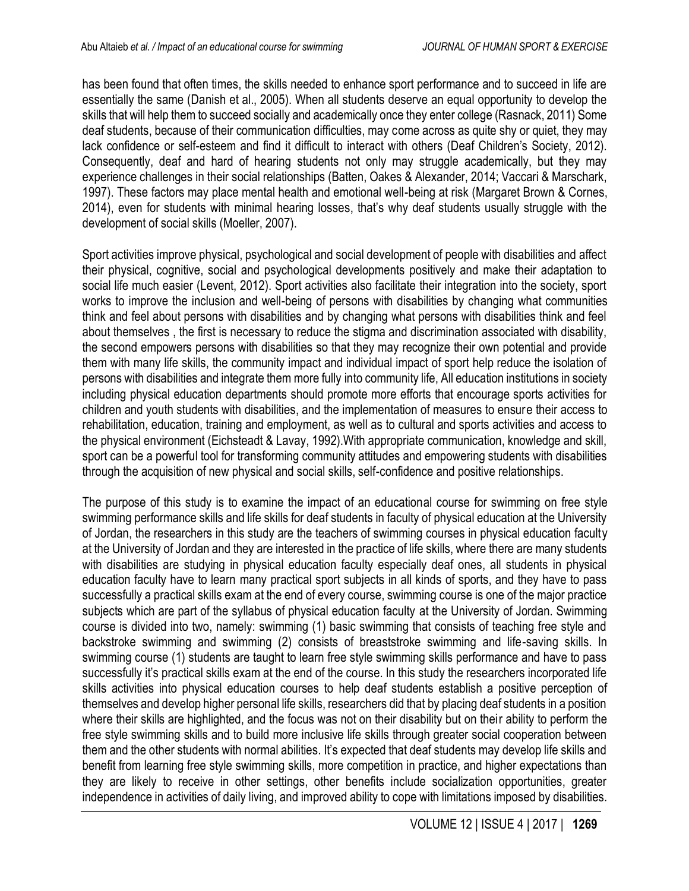has been found that often times, the skills needed to enhance sport performance and to succeed in life are essentially the same (Danish et al., 2005). When all students deserve an equal opportunity to develop the skills that will help them to succeed socially and academically once they enter college (Rasnack, 2011) Some deaf students, because of their communication difficulties, may come across as quite shy or quiet, they may lack confidence or self-esteem and find it difficult to interact with others (Deaf Children's Society, 2012). Consequently, deaf and hard of hearing students not only may struggle academically, but they may experience challenges in their social relationships (Batten, Oakes & Alexander, 2014; Vaccari & Marschark, 1997). These factors may place mental health and emotional well-being at risk (Margaret Brown & Cornes, 2014), even for students with minimal hearing losses, that's why deaf students usually struggle with the development of social skills (Moeller, 2007).

Sport activities improve physical, psychological and social development of people with disabilities and affect their physical, cognitive, social and psychological developments positively and make their adaptation to social life much easier (Levent, 2012). Sport activities also facilitate their integration into the society, sport works to improve the inclusion and well-being of persons with disabilities by changing what communities think and feel about persons with disabilities and by changing what persons with disabilities think and feel about themselves , the first is necessary to reduce the stigma and discrimination associated with disability, the second empowers persons with disabilities so that they may recognize their own potential and provide them with many life skills, the community impact and individual impact of sport help reduce the isolation of persons with disabilities and integrate them more fully into community life, All education institutions in society including physical education departments should promote more efforts that encourage sports activities for children and youth students with disabilities, and the implementation of measures to ensure their access to rehabilitation, education, training and employment, as well as to cultural and sports activities and access to the physical environment (Eichsteadt & Lavay, 1992).With appropriate communication, knowledge and skill, sport can be a powerful tool for transforming community attitudes and empowering students with disabilities through the acquisition of new physical and social skills, self-confidence and positive relationships.

The purpose of this study is to examine the impact of an educational course for swimming on free style swimming performance skills and life skills for deaf students in faculty of physical education at the University of Jordan, the researchers in this study are the teachers of swimming courses in physical education faculty at the University of Jordan and they are interested in the practice of life skills, where there are many students with disabilities are studying in physical education faculty especially deaf ones, all students in physical education faculty have to learn many practical sport subjects in all kinds of sports, and they have to pass successfully a practical skills exam at the end of every course, swimming course is one of the major practice subjects which are part of the syllabus of physical education faculty at the University of Jordan. Swimming course is divided into two, namely: swimming (1) basic swimming that consists of teaching free style and backstroke swimming and swimming (2) consists of breaststroke swimming and life-saving skills. In swimming course (1) students are taught to learn free style swimming skills performance and have to pass successfully it's practical skills exam at the end of the course. In this study the researchers incorporated life skills activities into physical education courses to help deaf students establish a positive perception of themselves and develop higher personal life skills, researchers did that by placing deaf students in a position where their skills are highlighted, and the focus was not on their disability but on their ability to perform the free style swimming skills and to build more inclusive life skills through greater social cooperation between them and the other students with normal abilities. It's expected that deaf students may develop life skills and benefit from learning free style swimming skills, more competition in practice, and higher expectations than they are likely to receive in other settings, other benefits include socialization opportunities, greater independence in activities of daily living, and improved ability to cope with limitations imposed by disabilities.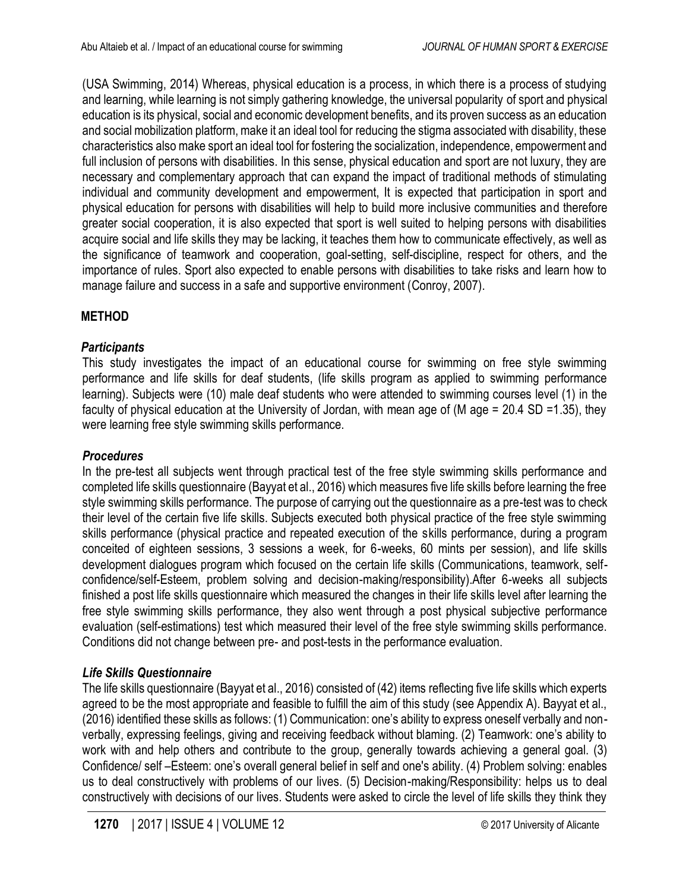(USA Swimming, 2014) Whereas, physical education is a process, in which there is a process of studying and learning, while learning is not simply gathering knowledge, the universal popularity of sport and physical education is its physical, social and economic development benefits, and its proven success as an education and social mobilization platform, make it an ideal tool for reducing the stigma associated with disability, these characteristics also make sport an ideal tool for fostering the socialization, independence, empowerment and full inclusion of persons with disabilities. In this sense, physical education and sport are not luxury, they are necessary and complementary approach that can expand the impact of traditional methods of stimulating individual and community development and empowerment, It is expected that participation in sport and physical education for persons with disabilities will help to build more inclusive communities and therefore greater social cooperation, it is also expected that sport is well suited to helping persons with disabilities acquire social and life skills they may be lacking, it teaches them how to communicate effectively, as well as the significance of teamwork and cooperation, goal-setting, self-discipline, respect for others, and the importance of rules. Sport also expected to enable persons with disabilities to take risks and learn how to manage failure and success in a safe and supportive environment (Conroy, 2007).

## **METHOD**

## *Participants*

This study investigates the impact of an educational course for swimming on free style swimming performance and life skills for deaf students, (life skills program as applied to swimming performance learning). Subjects were (10) male deaf students who were attended to swimming courses level (1) in the faculty of physical education at the University of Jordan, with mean age of (M age = 20.4 SD =1.35), they were learning free style swimming skills performance.

## *Procedures*

In the pre-test all subjects went through practical test of the free style swimming skills performance and completed life skills questionnaire (Bayyat et al., 2016) which measures five life skills before learning the free style swimming skills performance. The purpose of carrying out the questionnaire as a pre-test was to check their level of the certain five life skills. Subjects executed both physical practice of the free style swimming skills performance (physical practice and repeated execution of the skills performance, during a program conceited of eighteen sessions, 3 sessions a week, for 6-weeks, 60 mints per session), and life skills development dialogues program which focused on the certain life skills (Communications, teamwork, selfconfidence/self-Esteem, problem solving and decision-making/responsibility).After 6-weeks all subjects finished a post life skills questionnaire which measured the changes in their life skills level after learning the free style swimming skills performance, they also went through a post physical subjective performance evaluation (self-estimations) test which measured their level of the free style swimming skills performance. Conditions did not change between pre- and post-tests in the performance evaluation.

# *Life Skills Questionnaire*

The life skills questionnaire (Bayyat et al., 2016) consisted of (42) items reflecting five life skills which experts agreed to be the most appropriate and feasible to fulfill the aim of this study (see Appendix A). Bayyat et al., (2016) identified these skills as follows: (1) Communication: one's ability to express oneself verbally and nonverbally, expressing feelings, giving and receiving feedback without blaming. (2) Teamwork: one's ability to work with and help others and contribute to the group, generally towards achieving a general goal. (3) Confidence/ self –Esteem: one's overall general belief in self and one's ability. (4) Problem solving: enables us to deal constructively with problems of our lives. (5) Decision-making/Responsibility: helps us to deal constructively with decisions of our lives. Students were asked to circle the level of life skills they think they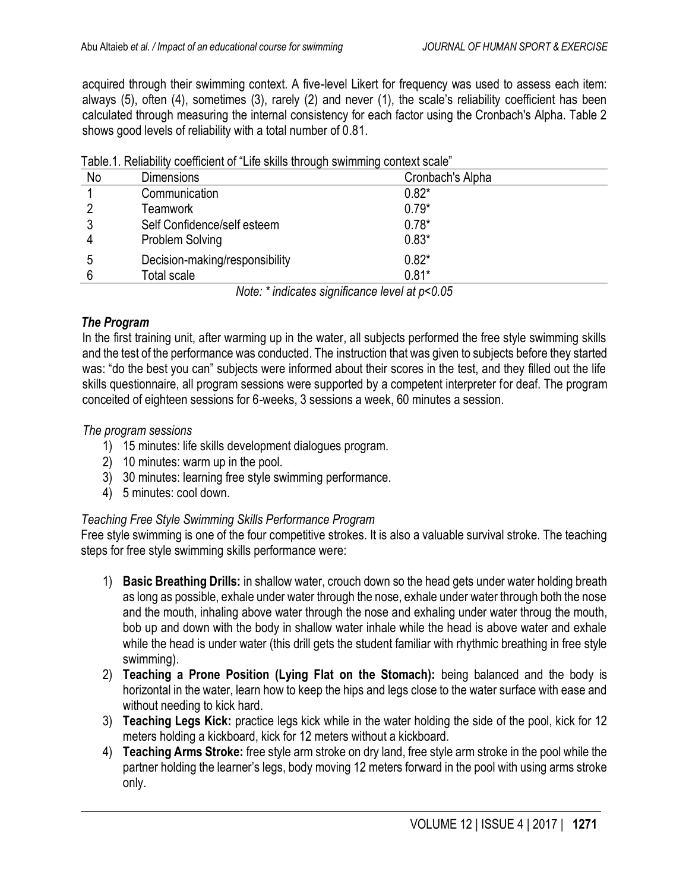acquired through their swimming context. A five-level Likert for frequency was used to assess each item: always (5), often (4), sometimes (3), rarely (2) and never (1), the scale's reliability coefficient has been calculated through measuring the internal consistency for each factor using the Cronbach's Alpha. Table 2 shows good levels of reliability with a total number of 0.81.

|    |               | Table. T. INCHADING COCHICLENT OF LIFE SNIIS (INOUGH SWITHHING CONCAT SCAIG |
|----|---------------|-----------------------------------------------------------------------------|
| No | Dimensions    | Cronbach's Alpha                                                            |
|    | Communication | $0.82*$                                                                     |
|    | Teamwork      | $0.79*$                                                                     |

| Table.1. Reliability coefficient of "Life skills through swimming context scale" |  |  |
|----------------------------------------------------------------------------------|--|--|
|                                                                                  |  |  |

3 Self Confidence/self esteem 0.78\* 4 Problem Solving 0.83\* 5 Decision-making/responsibility 0.82\*

6 Total scale 0.81\* *Note: \* indicates significance level at p<0.05*

### *The Program*

In the first training unit, after warming up in the water, all subjects performed the free style swimming skills and the test of the performance was conducted. The instruction that was given to subjects before they started was: "do the best you can" subjects were informed about their scores in the test, and they filled out the life skills questionnaire, all program sessions were supported by a competent interpreter for deaf. The program conceited of eighteen sessions for 6-weeks, 3 sessions a week, 60 minutes a session.

### *The program sessions*

- 1) 15 minutes: life skills development dialogues program.
- 2) 10 minutes: warm up in the pool.
- 3) 30 minutes: learning free style swimming performance.
- 4) 5 minutes: cool down.

## *Teaching Free Style Swimming Skills Performance Program*

Free style swimming is one of the four competitive strokes. It is also a valuable survival stroke. The teaching steps for free style swimming skills performance were:

- 1) **Basic Breathing Drills:** in shallow water, crouch down so the head gets under water holding breath as long as possible, exhale under water through the nose, exhale under water through both the nose and the mouth, inhaling above water through the nose and exhaling under water throug the mouth, bob up and down with the body in shallow water inhale while the head is above water and exhale while the head is under water (this drill gets the student familiar with rhythmic breathing in free style swimming).
- 2) **Teaching a Prone Position (Lying Flat on the Stomach):** being balanced and the body is horizontal in the water, learn how to keep the hips and legs close to the water surface with ease and without needing to kick hard.
- 3) **Teaching Legs Kick:** practice legs kick while in the water holding the side of the pool, kick for 12 meters holding a kickboard, kick for 12 meters without a kickboard.
- 4) **Teaching Arms Stroke:** free style arm stroke on dry land, free style arm stroke in the pool while the partner holding the learner's legs, body moving 12 meters forward in the pool with using arms stroke only.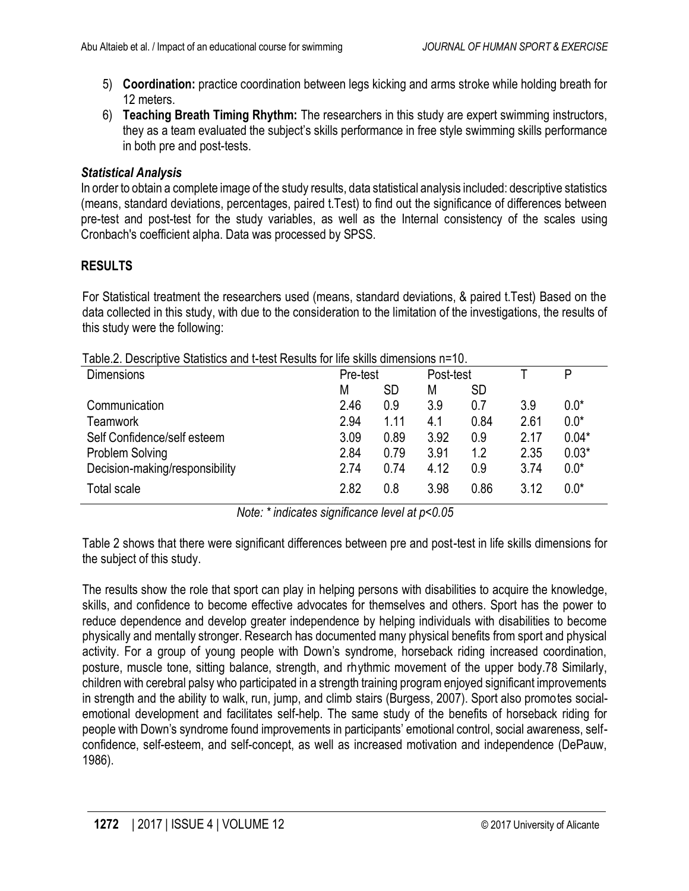- 5) **Coordination:** practice coordination between legs kicking and arms stroke while holding breath for 12 meters.
- 6) **Teaching Breath Timing Rhythm:** The researchers in this study are expert swimming instructors, they as a team evaluated the subject's skills performance in free style swimming skills performance in both pre and post-tests.

## *Statistical Analysis*

In order to obtain a complete image of the study results, data statistical analysis included: descriptive statistics (means, standard deviations, percentages, paired t.Test) to find out the significance of differences between pre-test and post-test for the study variables, as well as the Internal consistency of the scales using Cronbach's coefficient alpha. Data was processed by SPSS.

## **RESULTS**

For Statistical treatment the researchers used (means, standard deviations, & paired t.Test) Based on the data collected in this study, with due to the consideration to the limitation of the investigations, the results of this study were the following:

| <b>Dimensions</b>              | Pre-test |      | Post-test |           |      | P       |
|--------------------------------|----------|------|-----------|-----------|------|---------|
|                                | М        | SD   | М         | <b>SD</b> |      |         |
| Communication                  | 2.46     | 0.9  | 3.9       | 0.7       | 3.9  | $0.0*$  |
| <b>Teamwork</b>                | 2.94     | 1.11 | 4.1       | 0.84      | 2.61 | $0.0*$  |
| Self Confidence/self esteem    | 3.09     | 0.89 | 3.92      | 0.9       | 2.17 | $0.04*$ |
| <b>Problem Solving</b>         | 2.84     | 0.79 | 3.91      | 1.2       | 2.35 | $0.03*$ |
| Decision-making/responsibility | 2.74     | 0.74 | 4.12      | 0.9       | 3.74 | $0.0*$  |
| Total scale                    | 2.82     | 0.8  | 3.98      | 0.86      | 3.12 | $0.0*$  |

Table.2. Descriptive Statistics and t-test Results for life skills dimensions n=10.

*Note: \* indicates significance level at p<0.05*

Table 2 shows that there were significant differences between pre and post-test in life skills dimensions for the subject of this study.

The results show the role that sport can play in helping persons with disabilities to acquire the knowledge, skills, and confidence to become effective advocates for themselves and others. Sport has the power to reduce dependence and develop greater independence by helping individuals with disabilities to become physically and mentally stronger. Research has documented many physical benefits from sport and physical activity. For a group of young people with Down's syndrome, horseback riding increased coordination, posture, muscle tone, sitting balance, strength, and rhythmic movement of the upper body.78 Similarly, children with cerebral palsy who participated in a strength training program enjoyed significant improvements in strength and the ability to walk, run, jump, and climb stairs (Burgess, 2007). Sport also promotes socialemotional development and facilitates self-help. The same study of the benefits of horseback riding for people with Down's syndrome found improvements in participants' emotional control, social awareness, selfconfidence, self-esteem, and self-concept, as well as increased motivation and independence (DePauw, 1986).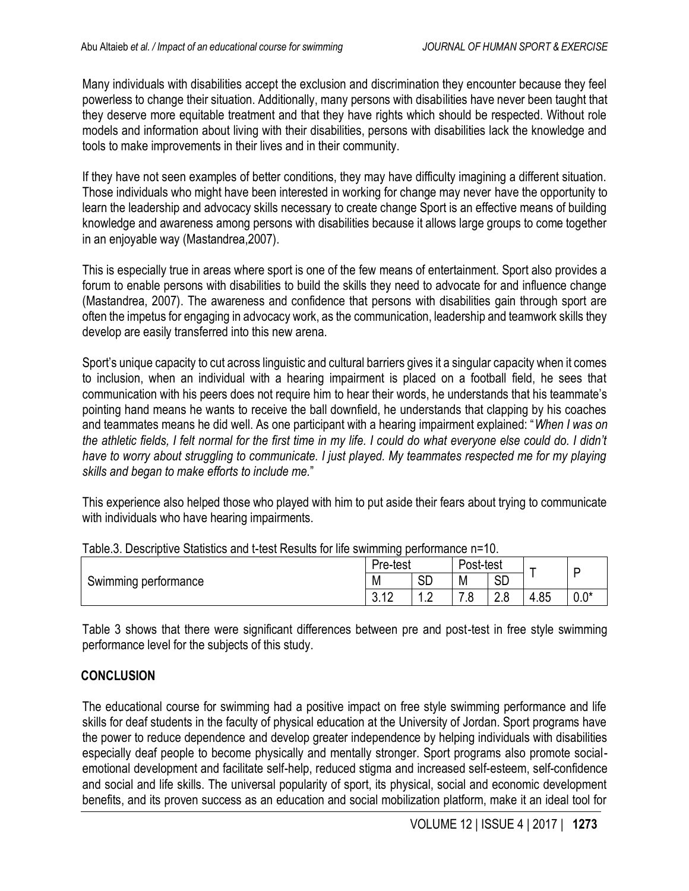Many individuals with disabilities accept the exclusion and discrimination they encounter because they feel powerless to change their situation. Additionally, many persons with disabilities have never been taught that they deserve more equitable treatment and that they have rights which should be respected. Without role models and information about living with their disabilities, persons with disabilities lack the knowledge and tools to make improvements in their lives and in their community.

If they have not seen examples of better conditions, they may have difficulty imagining a different situation. Those individuals who might have been interested in working for change may never have the opportunity to learn the leadership and advocacy skills necessary to create change Sport is an effective means of building knowledge and awareness among persons with disabilities because it allows large groups to come together in an enjoyable way (Mastandrea,2007).

This is especially true in areas where sport is one of the few means of entertainment. Sport also provides a forum to enable persons with disabilities to build the skills they need to advocate for and influence change (Mastandrea, 2007). The awareness and confidence that persons with disabilities gain through sport are often the impetus for engaging in advocacy work, as the communication, leadership and teamwork skills they develop are easily transferred into this new arena.

Sport's unique capacity to cut across linguistic and cultural barriers gives it a singular capacity when it comes to inclusion, when an individual with a hearing impairment is placed on a football field, he sees that communication with his peers does not require him to hear their words, he understands that his teammate's pointing hand means he wants to receive the ball downfield, he understands that clapping by his coaches and teammates means he did well. As one participant with a hearing impairment explained: "*When I was on*  the athletic fields, I felt normal for the first time in my life. I could do what everyone else could do. I didn't *have to worry about struggling to communicate. I just played. My teammates respected me for my playing skills and began to make efforts to include me.*"

This experience also helped those who played with him to put aside their fears about trying to communicate with individuals who have hearing impairments.

|                         | Pre-test                             |                   | Post-test |                          | -    |           |
|-------------------------|--------------------------------------|-------------------|-----------|--------------------------|------|-----------|
| performance<br>Swimming | M                                    | сn<br>◡           | M         | Ωr<br>◡                  |      |           |
|                         | $\Lambda$ $\cap$<br>ົ<br><b>U.IL</b> | C<br>. . <u>.</u> | ⇁<br>     | 0<br><sup>n</sup><br>∠.∪ | 4.85 | ብ*<br>v.v |

|  |  |  | Table.3. Descriptive Statistics and t-test Results for life swimming performance n=10. |  |
|--|--|--|----------------------------------------------------------------------------------------|--|
|  |  |  |                                                                                        |  |

Table 3 shows that there were significant differences between pre and post-test in free style swimming performance level for the subjects of this study.

## **CONCLUSION**

The educational course for swimming had a positive impact on free style swimming performance and life skills for deaf students in the faculty of physical education at the University of Jordan. Sport programs have the power to reduce dependence and develop greater independence by helping individuals with disabilities especially deaf people to become physically and mentally stronger. Sport programs also promote socialemotional development and facilitate self-help, reduced stigma and increased self-esteem, self-confidence and social and life skills. The universal popularity of sport, its physical, social and economic development benefits, and its proven success as an education and social mobilization platform, make it an ideal tool for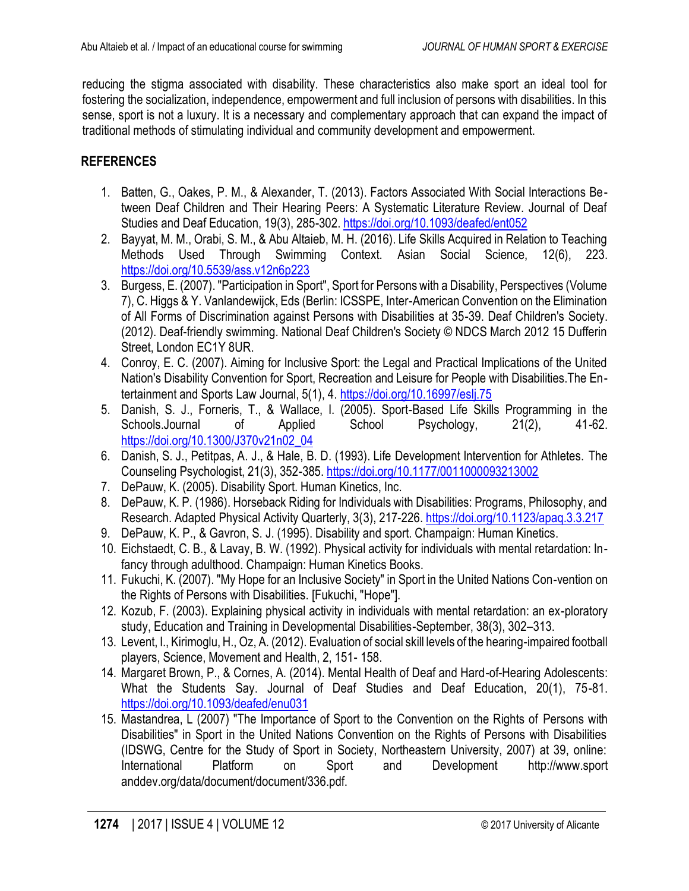reducing the stigma associated with disability. These characteristics also make sport an ideal tool for fostering the socialization, independence, empowerment and full inclusion of persons with disabilities. In this sense, sport is not a luxury. It is a necessary and complementary approach that can expand the impact of traditional methods of stimulating individual and community development and empowerment.

## **REFERENCES**

- 1. Batten, G., Oakes, P. M., & Alexander, T. (2013). Factors Associated With Social Interactions Between Deaf Children and Their Hearing Peers: A Systematic Literature Review. Journal of Deaf Studies and Deaf Education, 19(3), 285-302.<https://doi.org/10.1093/deafed/ent052>
- 2. Bayyat, M. M., Orabi, S. M., & Abu Altaieb, M. H. (2016). Life Skills Acquired in Relation to Teaching Methods Used Through Swimming Context. Asian Social Science, 12(6), 223. <https://doi.org/10.5539/ass.v12n6p223>
- 3. Burgess, E. (2007). "Participation in Sport", Sport for Persons with a Disability, Perspectives (Volume 7), C. Higgs & Y. Vanlandewijck, Eds (Berlin: ICSSPE, Inter-American Convention on the Elimination of All Forms of Discrimination against Persons with Disabilities at 35-39. Deaf Children's Society. (2012). Deaf-friendly swimming. National Deaf Children's Society © NDCS March 2012 15 Dufferin Street, London EC1Y 8UR.
- 4. Conroy, E. C. (2007). Aiming for Inclusive Sport: the Legal and Practical Implications of the United Nation's Disability Convention for Sport, Recreation and Leisure for People with Disabilities.The Entertainment and Sports Law Journal, 5(1), 4.<https://doi.org/10.16997/eslj.75>
- 5. Danish, S. J., Forneris, T., & Wallace, I. (2005). Sport-Based Life Skills Programming in the Schools.Journal of Applied School Psychology, 21(2), 41-62. [https://doi.org/10.1300/J370v21n02\\_04](https://doi.org/10.1300/J370v21n02_04)
- 6. Danish, S. J., Petitpas, A. J., & Hale, B. D. (1993). Life Development Intervention for Athletes. The Counseling Psychologist, 21(3), 352-385.<https://doi.org/10.1177/0011000093213002>
- 7. DePauw, K. (2005). Disability Sport. Human Kinetics, Inc.
- 8. DePauw, K. P. (1986). Horseback Riding for Individuals with Disabilities: Programs, Philosophy, and Research. Adapted Physical Activity Quarterly, 3(3), 217-226[. https://doi.org/10.1123/apaq.3.3.217](https://doi.org/10.1123/apaq.3.3.217)
- 9. DePauw, K. P., & Gavron, S. J. (1995). Disability and sport. Champaign: Human Kinetics.
- 10. Eichstaedt, C. B., & Lavay, B. W. (1992). Physical activity for individuals with mental retardation: Infancy through adulthood. Champaign: Human Kinetics Books.
- 11. Fukuchi, K. (2007). "My Hope for an Inclusive Society" in Sport in the United Nations Con-vention on the Rights of Persons with Disabilities. [Fukuchi, "Hope"].
- 12. Kozub, F. (2003). Explaining physical activity in individuals with mental retardation: an ex-ploratory study, Education and Training in Developmental Disabilities-September, 38(3), 302–313.
- 13. Levent, I., Kirimoglu, H., Oz, A. (2012). Evaluation of social skill levels of the hearing-impaired football players, Science, Movement and Health, 2, 151- 158.
- 14. Margaret Brown, P., & Cornes, A. (2014). Mental Health of Deaf and Hard-of-Hearing Adolescents: What the Students Say. Journal of Deaf Studies and Deaf Education, 20(1), 75-81. <https://doi.org/10.1093/deafed/enu031>
- 15. Mastandrea, L (2007) "The Importance of Sport to the Convention on the Rights of Persons with Disabilities" in Sport in the United Nations Convention on the Rights of Persons with Disabilities (IDSWG, Centre for the Study of Sport in Society, Northeastern University, 2007) at 39, online: International Platform on Sport and Development http://www.sport anddev.org/data/document/document/336.pdf.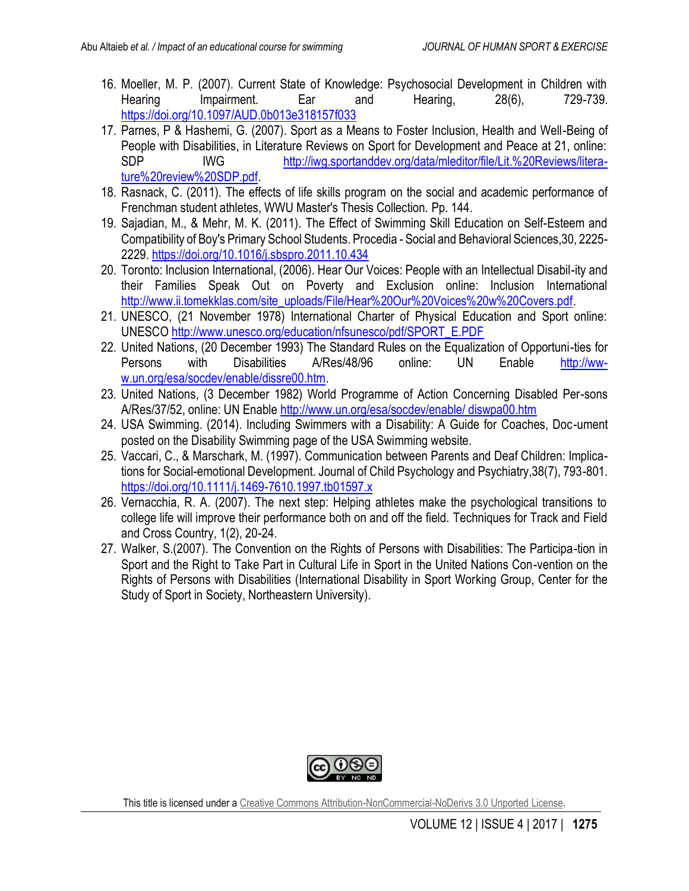- 16. Moeller, M. P. (2007). Current State of Knowledge: Psychosocial Development in Children with Hearing Impairment. Ear and Hearing, 28(6), 729-739. <https://doi.org/10.1097/AUD.0b013e318157f033>
- 17. Parnes, P & Hashemi, G. (2007). Sport as a Means to Foster Inclusion, Health and Well-Being of People with Disabilities, in Literature Reviews on Sport for Development and Peace at 21, online: SDP IWG [http://iwg.sportanddev.org/data/mleditor/file/Lit.%20Reviews/litera](http://iwg.sportanddev.org/data/mleditor/file/Lit.%20Reviews/litera-ture%20review%20SDP.pdf)[ture%20review%20SDP.pdf.](http://iwg.sportanddev.org/data/mleditor/file/Lit.%20Reviews/litera-ture%20review%20SDP.pdf)
- 18. Rasnack, C. (2011). The effects of life skills program on the social and academic performance of Frenchman student athletes, WWU Master's Thesis Collection. Pp. 144.
- 19. Sajadian, M., & Mehr, M. K. (2011). The Effect of Swimming Skill Education on Self-Esteem and Compatibility of Boy's Primary School Students. Procedia - Social and Behavioral Sciences,30, 2225- 2229.<https://doi.org/10.1016/j.sbspro.2011.10.434>
- 20. Toronto: Inclusion International, (2006). Hear Our Voices: People with an Intellectual Disabil-ity and their Families Speak Out on Poverty and Exclusion online: Inclusion International [http://www.ii.tomekklas.com/site\\_uploads/File/Hear%20Our%20Voices%20w%20Covers.pdf.](http://www.ii.tomekklas.com/site_uploads/File/Hear%20Our%20Voices%20w%20Covers.pdf)
- 21. UNESCO, (21 November 1978) International Charter of Physical Education and Sport online: UNESCO [http://www.unesco.org/education/nfsunesco/pdf/SPORT\\_E.PDF](http://www.unesco.org/education/nfsunesco/pdf/SPORT_E.PDF)
- 22. United Nations, (20 December 1993) The Standard Rules on the Equalization of Opportuni-ties for Persons with Disabilities A/Res/48/96 online: UN Enable [http://ww](http://ww-w.un.org/esa/socdev/enable/dissre00.htm)[w.un.org/esa/socdev/enable/dissre00.htm.](http://ww-w.un.org/esa/socdev/enable/dissre00.htm)
- 23. United Nations, (3 December 1982) World Programme of Action Concerning Disabled Per-sons A/Res/37/52, online: UN Enable [http://www.un.org/esa/socdev/enable/ diswpa00.htm](http://www.un.org/esa/socdev/enable/%20diswpa00.htm)
- 24. USA Swimming. (2014). Including Swimmers with a Disability: A Guide for Coaches, Doc-ument posted on the Disability Swimming page of the USA Swimming website.
- 25. Vaccari, C., & Marschark, M. (1997). Communication between Parents and Deaf Children: Implications for Social-emotional Development. Journal of Child Psychology and Psychiatry,38(7), 793-801. <https://doi.org/10.1111/j.1469-7610.1997.tb01597.x>
- 26. Vernacchia, R. A. (2007). The next step: Helping athletes make the psychological transitions to college life will improve their performance both on and off the field. Techniques for Track and Field and Cross Country, 1(2), 20-24.
- 27. Walker, S.(2007). The Convention on the Rights of Persons with Disabilities: The Participa-tion in Sport and the Right to Take Part in Cultural Life in Sport in the United Nations Con-vention on the Rights of Persons with Disabilities (International Disability in Sport Working Group, Center for the Study of Sport in Society, Northeastern University).



This title is licensed under a [Creative Commons Attribution-NonCommercial-NoDerivs 3.0 Unported](http://creativecommons.org/licenses/by-nc-nd/3.0/) License.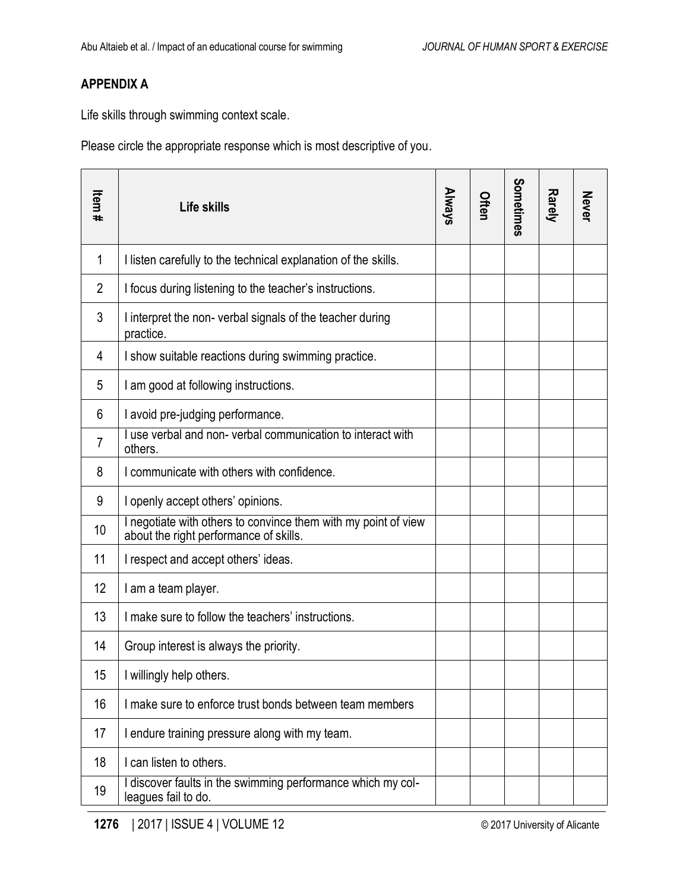## **APPENDIX A**

Life skills through swimming context scale.

Please circle the appropriate response which is most descriptive of you.

| Item# | Life skills                                                                                            | <b>Always</b> | Often | Sometimes | Rarely | <b>Never</b> |
|-------|--------------------------------------------------------------------------------------------------------|---------------|-------|-----------|--------|--------------|
| 1     | I listen carefully to the technical explanation of the skills.                                         |               |       |           |        |              |
| 2     | I focus during listening to the teacher's instructions.                                                |               |       |           |        |              |
| 3     | I interpret the non-verbal signals of the teacher during<br>practice.                                  |               |       |           |        |              |
| 4     | I show suitable reactions during swimming practice.                                                    |               |       |           |        |              |
| 5     | I am good at following instructions.                                                                   |               |       |           |        |              |
| 6     | I avoid pre-judging performance.                                                                       |               |       |           |        |              |
| 7     | use verbal and non-verbal communication to interact with<br>others.                                    |               |       |           |        |              |
| 8     | I communicate with others with confidence.                                                             |               |       |           |        |              |
| 9     | I openly accept others' opinions.                                                                      |               |       |           |        |              |
| 10    | negotiate with others to convince them with my point of view<br>about the right performance of skills. |               |       |           |        |              |
| 11    | I respect and accept others' ideas.                                                                    |               |       |           |        |              |
| 12    | I am a team player.                                                                                    |               |       |           |        |              |
| 13    | I make sure to follow the teachers' instructions.                                                      |               |       |           |        |              |
| 14    | Group interest is always the priority.                                                                 |               |       |           |        |              |
| 15    | I willingly help others.                                                                               |               |       |           |        |              |
| 16    | I make sure to enforce trust bonds between team members                                                |               |       |           |        |              |
| 17    | I endure training pressure along with my team.                                                         |               |       |           |        |              |
| 18    | I can listen to others.                                                                                |               |       |           |        |              |
| 19    | discover faults in the swimming performance which my col-<br>leagues fail to do.                       |               |       |           |        |              |